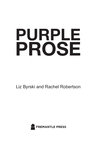# PURPLE PROSE

Liz Byrski and Rachel Robertson

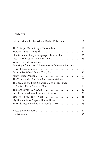# **Contents**

| The Things I Cannot Say - Natasha Lester 11                                         |
|-------------------------------------------------------------------------------------|
|                                                                                     |
| Blue Meat and Purple Language - Toni Jordan 36                                      |
| Into the Whipstick - Anne Manne 45                                                  |
|                                                                                     |
| 'Is a Magnificent Story': Interviews with Pigeon Fanciers -                         |
|                                                                                     |
|                                                                                     |
|                                                                                     |
| The Trouble with Purple - Annamaria Weldon 105                                      |
| The Red and the Blue: Confessions of an (Unlikely)                                  |
| Dockers Fan - Deborah Hunn 116                                                      |
| The Two Loves – Lily Chan $\dots\dots\dots\dots\dots\dots\dots\dots\dots\dots\dots$ |
| Purple Impressions - Rosemary Stevens 139                                           |
| Bruised - Jacqueline Wright 148                                                     |
| My Descent into Purple - Hanifa Deen 162                                            |
| Towards Metamorphosis - Amanda Curtin 175                                           |
|                                                                                     |
|                                                                                     |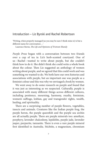## Introduction – Liz Byrski and Rachel Robertson

'Writing, when properly managed (as you may be sure I think mine is) is but a different name for conversation …'

Laurence Sterne, *The Life and Opinions of Tristram Shandy* 

*Purple Prose* began with a conversation between two friends over a cup of tea in Liz's herb-scented courtyard. One of us – Rachel – wanted to write about purple, but she couldn't think how to do it. She didn't think she could write a whole book about the colour. Then Liz suggested an anthology of women writing about purple, and we agreed that this could work and was something we wanted to do. We both have our own histories and associations with purple, but an important one was purple as a feminist colour and this was why we envisaged a book by women.

We went away to do some research on purple and found that it was just as interesting as we suspected. Culturally, purple is associated with many different things across different cultures, including penitence, mourning, harmony, royalty, feminism, women's suffrage, lesbian, gay and transgender rights, wealth, healing, and spirituality.

There are a surprising number of purple flowers, vegetables, insects and animals. Creatures like the Indian purple frog, the purple heron, the purple queenfish and the purple sea urchin are all actually purple. There are purple minerals too: amethyst, porphyry, lavender chalcedony, lepidolite, purple jade, lavender jasper, purpurite, tanzanite. There is even a rare purple mineral first identified in Australia. Stichtite, a magnesium, chromium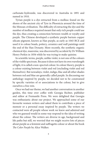carbonate-hydroxide, was discovered in Australia in 1891 and named in 1910.

Tyrian purple is a dye extracted from a mollusc found on the shores of the ancient city of Tyre in Phoenicia around the time of the Minoan civilisation. The difficulty of extracting the dye and the number of molluscs required meant that only rich people could use the dye, thus creating a connection between wealth or royalty and purple. The Chinese developed a synthetic purple barium copper silicate pigment, known as Han purple, as early as 1045 BCE and used it to colour beads, pottery, ceramics and wall paintings until the end of the Han Dynasty. More recently, the synthetic organic chemical dye, mauveine, was discovered by accident by Dr William Henry Perkin in 1856 while he was trying to make quinine.

In scientific terms, purple, unlike violet, is not one of the colours of the visible spectrum. Because it does not have its own wavelength of light, it is called a non-spectral colour. In colour theory, purple is a colour existing between violet and red (excluding violet and red themselves). But nowadays, violet, indigo, lilac and all other shades between red and blue are generally called purple. In discussing our anthology inspired by purple, we decided not to be constrained by specific varieties of or associations to the colour, but to give ourselves a free rein.

Once we had our theme, we had another conversation in another garden, this time over coffee with Georgia Richter, publisher and editor at Fremantle Press. We were delighted that Georgia was enthusiastic about our project. We approached some of our favourite women writers and asked them to contribute a piece of memoir or a personal essay inspired by purple. The writers we contacted were all people whose work we knew and admired and who we guessed would in some way respond to the idea of writing about the colour. The writers are diverse in age, background and life paths but still, we worried that we might receive lots of pieces about purple as a feminist and suffragette colour or about the book *The Color Purple* by Alice Walker.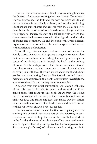### **INTRODUCTION**

Our worries were unnecessary. What was astounding to us was the diversity of responses to a single writing prompt. The way each woman approached the task and the way her personal life and purple intersect is remarkably different, and equally fascinating. But there are some themes that emerge from the collection. First there is the theme of transformation – how we change and how we struggle to change. We start the collection with a work that demonstrates the interwoven complexities of gender and identity, of change and continuity. We end the book with a very different exploration of transformation, the metamorphosis that occurs with experience and reflection.

Travel, through time and space, features in many of these works. Family stories, memory and forgetting emerge as women explore their roles as mothers, sisters, daughters and grand-daughters. Wisps of purple fabric rustle through the book in the probing of women's relationships with other family members. Several contributors reflect purple's connection to spirituality and others its strong link with loss. There are stories about childhood, about gender, and about ageing. Passions like football, art and pigeonracing are also explored in this book. Contributors investigate the way we see the world and the way we write about this.

A year on from our initial conversation, we sat again with cups of tea, this time by Rachel's fish pond, and we read the fifteen contributions that make up this book. Apart from the colour purple, we recognised that each of these works is about how we make our lives into stories and how that makes our lives richer. Our conversation with each other has become a wider conversation with all our writers and, we hope, our readers.

Our final conversation is about the title. We originally used the working title of *Purple Prose* as a sort of joke, referring to overelaborate or ornate writing. But one of the contributors alerts us to the fact that the phrase 'purple language' has been used to refer also to highly colourful swearing. We like the transgressive (and Shandyesque playfulness) of calling women's writing purple in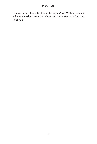this way, so we decide to stick with *Purple Prose*. We hope readers will embrace the energy, the colour, and the stories to be found in this book.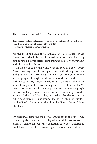# The Things I Cannot Say – Natasha Lester

'Bless you, my darling, and remember you are always in the heart – oh tucked so close there is no chance of escape – of your sister.'

Katherine Mansfield, *Collected Letters*

My favourite book as a girl was Louisa May Alcott's *Little Women*. I loved Amy March. In fact, I wanted to be Amy with her curly blonde hair, blue eyes, artistic temperament, delusions of grandeur and a house full of sisters.

On the cover of my thirty-five-year-old copy of *Little Women*, Amy is wearing a purple dress picked out with white polka dots, and a purple bonnet trimmed with white lace. Her sister Beth is also in purple, although her dress is more demure and covered with a housewifely apron. Purple in all its shades follows the sisters throughout the book; the slippers Beth embroiders for Mr Laurence are deep purple, Amy bequeaths Mr Laurence her purple box with looking glass when she writes out her will, Meg yearns for a violet silk dress, and Jo's shabby poplin dress that she wears to the ball is deep maroon. It's no wonder that when I think of purple, I think of *Little Women*. And when I think of *Little Women*, I think of sisters.

On weekends, from the time I was around six to the time I was eleven, my sister and I used to play with our dolls. We concocted elaborate games for our ratty collection of plastic children to participate in. One of our favourite games was hospitals. My sister

\*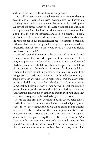and I were the doctors, the dolls were the patients.

In an old indigo-covered school exercise book we wrote lengthy descriptions of invented diseases, accompanied by illustrations showing the manifestation of each disease in all its putrid glory. We gave the illnesses names like the deadly Gangalknee Virus and the frightening Amoebic Pustitis, which made one's throat swell to a point that the patient suffocated and died in a breathless purple fit. Each day of the weekend, my sister and I would walk down the rows of beds in our makeshift hospital. We examined each doll with our plastic tweezers, applied fraying bandages, consulted our diagnostic manual, treated those who could be saved and sighed over those who couldn't.

Our dolls would all recover or be resurrected by four o' clock Sunday because that was when pack-up time commenced. Even now, 4.00 pm on a Sunday still carries with it a sense of loss, of playtime prematurely shut down, of an exchange of the possibilities of imagination for the realities of homework, dinner and hairwashing. I always thought my sister felt the same as I about both the games and their cessation until she brutally announced, a couple of weeks after she started high school, that she didn't want to play with dolls any more. I was shocked. It had never occurred to me that doll-playing wasn't a lifetime's work. That the carefully drawn diagrams of disease would be left in a desk to yellow and fade, that the dolls would sit gathering dust in their hair until they were tossed away, too well-loved to be given to the poor.

It was the first time I felt bewildered by my sister's behaviour. It was the first time I felt absence as palpable, defined not just by what wasn't there – the camaraderie of playing together in our childish hospital – but also by what was there: a new person, a sister I was unacquainted with. Prior to that, we'd been exactly as I imagined sisters to be. We played together like Beth and Amy in *Little Women* with their own worn-out dolls. We fought together like Jo and Amy, except our battles were less devilish, consisting only of slapping one another until we both began to cry, rather than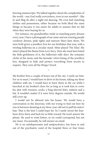burning manuscripts. We talked together about the complexities of the world –was God really everywhere, even in our mouths? – like Jo and Meg do after a night out dancing. We even had matching clothes and possessions, either because we both liked the same things or because it was easier for adults to assume that we did when they were buying for us.

For instance, my grandmother made us matching party dresses every year. I have a photograph of my sister and me wearing purple corduroy dresses, pink tights and maroon Mary-Jane shoes. We were both given a jewellery box for our birthdays that year, with a twirling ballerina on a circular stand. Mine played 'Für Elise'. My sister's played the theme from *Love Story*. How she must have hated the little-girlishness of it, the ballerina's tulle skirt, the romantic cliché of the music and the lavender velvet lining of the jewellery box, designed to hide and protect everything from secrets to sequins. They were all the things I loved.

My brother lives a couple of hours out of the city. I rarely see him. For us to meet, I would have to drive to his house, taking my three children with me. I would have to leave them in the car while I knocked at my brother's door for as long as it took him to cover his skin with trousers, socks, a long-sleeved shirt, mittens and a hat. It wouldn't matter if it were forty degrees outside. He would still cover up.

\*

I would not be allowed into his house. We would have a conversation in the doorway, with me trying to find out how he was in between shouting at my three-year-old not to pull his sisters' hair. That is the best I could hope for. So I rarely invest the fourhour drive there and back for so little reward. He won't answer the phone. He used to write letters, so we could correspond, but not any more. Occasionally, he will answer an email.

He is on antidepressants and antipsychotics, has been in and out of the psychiatric ward of the hospital three or four times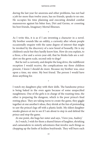during the last year for anorexia and other problems, has not had a job for more than twelve years, has no friends, speaks to no one. He occupies his time planning and executing detailed combat manoeuvres against his bitter foes, Dirt and Germs, or cosseting his best friends, Imaginary Mortal Illnesses.

\*

As I write this, it is as if I am inventing a character in a novel. My brother sounds like an oddity, a curiosity after whom people occasionally enquire with the same degree of interest that might be invoked by the discovery of a new breed of housefly. He is my children's uncle but they hardly know him. How do you explain, to a three, a five and a seven-year-old, that he thinks kids are a redalert on the germ scale, second only to dogs?

But he isn't a curiosity, and despite the long drive, the indifferent reception I would receive, the complications my three children present, I know I should do more. Because my brother was, once upon a time, my sister. My best friend. The person I would have done anything for.

\*

I watch my daughters play with their dolls. The handsome prince is being baked in the oven again because of some unspecified naughtiness. One of the girls is in charge of the roasting time, the other is preparing the dungeon, which is the poor prince's final resting place. They are taking turns to create the game, they giggle together at one another's ideas, they shriek at the fun of pretending to saw the prince's legs off with a plastic knife. My eldest daughter sneaks glances at me to see if I am about to step in and defend the prince and stop the game.

At one point, she hugs her sister and says, 'I love you, Audrey.'

As I watch, I wish for them a shared future of laughter, shrieking and camaraderie in sisterly adventures that involve such things as chopping up the limbs of feckless boyfriends. They will burn each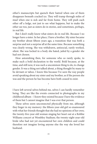other's manuscripts but quench their hatred when one of them disappears beneath cracked ice. They will tramp through miles of mud when one is sick and far from home. They will push each other off a ledge, not just to see what happens, but to make the other see too, just as sisters do in stories, and sometimes, perhaps, in real life.

But I don't really know what sisters do in real life. Because I no longer have a sister. In her place, I have a brother. My sister became my brother about fifteen years ago, a transition that was both a surprise and not a surprise all at the same time. Because something was clearly wrong. She was withdrawn, antisocial, rarely worked, silent. She was locked in a body she hated, jailed by a gender she had not chosen.

How astonishing then, for someone who so rarely spoke, to make such a bold declaration to the world. Bold because, at the time, and still now, it was such a uncommon thing to do, to change gender. It was a thing not talked about, a thing thought by many to be deviant or taboo. I know this because I've seen the way people avoid speaking about my sister and my brother, as if the person she was and the person he has become have both ceased to exist.

\*

I have left several selves behind me, selves I can hardly remember being. They are like the events connected to photographs in my childhood album – I know they existed because I have the evidence of them but I cannot imagine that I was ever that person.

These selves seem unconnected physically from me, although they linger in my memory: the fifteen-year-old girl so enamoured with what her friends thought that she had no opinions of her own; the twenty-five-year-old woman singing her heart out at a Robbie Williams concert at Wembley Stadium; the twenty-eight-year-old bride who had not yet encountered her own children and could therefore not imagine loving anyone else the way she loved her husband.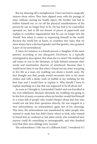But my shearing off is metaphorical. I have not had to surgically remove those selves. They have slipped away with the passage of time, without causing me bodily injury. My brother has had to hollow himself out, to cut off the physical manifestations of the person he can no longer bear to be. He has had to be counselled, operated on, had to fill out dozens of pieces of paperwork and explain to countless organisations that he can no longer tick the 'female' box when it comes to expressing himself to the world. Because the world lets us know, in countless tiny ways, that we must always have a declared gender and that gender, once granted, is part of our personhood.

A sister, for instance, is a female person, a 'daughter of the same parents', according to my *Macquarie Dictionary* in a typically unimaginative description. But what else is a sister? My intellectual self wants to run to the literature, to hide behind someone else's words and emotionless theories of sisterhood. Because then I would never have to say that when I found out my sister was going to live life as a man, my wedding was about a month away. My first thought was that people would encounter him in his men's clothes and with a dusky wash of stubble at my wedding for the first time and I would have to explain it. Why should I have to explain anything on a day that was supposed to be all about me?

As soon as I thought it, I pretended I hadn't and was horrified at my own selfishness. Because obviously my wedding was going to be the first of many occasions when my brother would find himself in a room full of people who would whisper about him but who would not ask him their questions directly. He was trapped in a new awkwardness, an awkwardness again not of his choosing. This time, the awkwardness was manifested by other people who wanted to study him but didn't know where to look, who wanted to brand him as confused or just plain weird, who wondered how anyone could do something so unimaginable, and who thanked God that their own siblings were 'normal'.

The awkwardness I felt was of a different kind. I wondered if I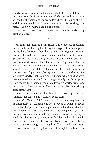could acknowledge what had happened, talk about it with him, ask him questions. But I was a reminder of what he used to be. I was attached to the person he wanted to leave behind. Talking about it with him reminded him of the girl he wanted to forget, the girl he hated. The girl he wished had never existed.

How can I be so selfish as to want to remember a sister my brother loathed?

\*

I feel guilty for mourning my sister. Guilty because mourning implies sadness. I worry that being sad suggests I do not support my brother's decision. I should focus on what I've gained, not what I've lost. I should see the rainbow and not the rain. So I never grieved for her, in case that grief was misconstrued as grief over my brother's decision, rather than over loss. A person still exists who is made of the same atoms as my sister. So what is there to lament? Then I read Rebecca Goldstein's attempts to unpick the complexities of personal identity and it was a revelation. She articulates exactly what I could not: 'A person whom one has loved seems altogether too significant a thing to simply vanish altogether from the world. A person whom one loves is a world, just as one knows oneself to be a world. How can worlds like these simply cease altogether?'

Indeed, how can they? But they do. I know my sister has vanished, has ceased. She will never come again.

In *Little Women*, Beth's death is a 'benignant angel – not a phantom full of dread'. Birds sing over her soul. In dying, 'Beth was well at last.' I hoped that becoming a man would heal my sister, that her metaphorical death would be that same benignant angel. That my new brother would be able to have conversations with people, would be able to work, would even find love. I hoped it would tweezer out the pain of the previous twenty-five years of being thought of as one thing, the wrong thing. That it might bandage up the deep wounds caused by thousands of thoughtless actions – the

17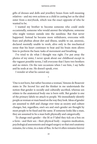### NATASHA LESTER

gifts of dresses and dolls and jewellery boxes from well-meaning relatives – and my own actions as a child in casting her as the ideal sister from a storybook, which was the exact opposite of who he wanted to be.

I wanted my brother to become someone who could smile occasionally, someone who would answer the telephone, someone who might venture outside into the sunshine. But that never happened. Instead he became more withdrawn, overcome with fears and phobias about dirt and illness, unable to eat, anorexic, declared mentally unable to work, alive only in the mechanical sense that his heart continues to beat and his brain stem allows him to perform the basic tasks of movement and breathing.

I've tried to do what I thought was right. I've put away the photos of my sister, I never speak about our childhood except in the vaguest possible terms, I tell everyone that I have two brothers and no sisters. On the rare occasions when I see him, I say hello and he nods at me. He doesn't speak, ever.

\*

I wonder at what he cannot say.

'One is not born, but rather becomes a woman,' Simone de Beauvoir states in *The Second Sex* and the thinker in me understands the notion that gender is socially and culturally ascribed, whereas sex relates to the anatomical body one is born with. But gender is one of the primary labels we attach to people. We immediately identify people as woman or man based on the way they look. Ideas of gender are assumed to shift and change over time as society and culture changes, but, regardless, one's sex and one's gender are thought by most people to be fixed and the same. If someone looks like a man, they are assumed to be a man both physically and categorically.

To change one's gender – the M or F label they tick on a box on a form – and their sex – their physical body – requires medication, psychological assessments and staged surgery so that one's anatomy remains, for a time, in a state of flux. In fact it often remains forever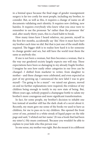in a liminal space because the final stage of gender reassignment surgery is far too costly for most people, including my brother, to consider. But, as well as this, it requires a change of name on all documents validating one's identity. It requires new clothing, new hairdos. It requires everybody who knew what you once were to remember to use the pronoun 'he' rather than the pronoun 'she' and, after nearly thirty years, this is a hard habit to break.

How many times have I heard relatives, my parents, myself in the first few months, accidentally say 'she'. How it must have hurt my brother each time we did. But that is just one of the small shifts required. The bigger shift is to realise how hard it is for someone to change gender and sex, but still have the world treat them the same as anybody else.

If one is not born a woman, but then becomes a woman, that is the way our gendered society largely expects one will stay. These expectations have been so damaging to my already fragile brother. I imagine he sees how easily other categories in our lives can be changed – I shifted from marketer to writer, from daughter to mother – and these changes were celebrated, and even expected as part of my growing up. I announced the new label I was to give myself – 'I'm going to be a mum!' –we raised our glasses, moved on and no further explanations were required, the evidence of my children being enough to testify to my new state of being. But, fifteen years ago, nobody popped a champagne bottle to salute my brother's more courageous and more significant transformation.

In fact, for some people, my brother's decision to inhabit one box instead of another still has the dark cloak of a secret about it. Recently, my mum gave me some of the books we used to have as children, for me to pass on to my children. She opened the front cover of one, pointed to a white streak of liquid paper on the title page and said, 'I whited out her name.' (It was a book that had been my sister's.) My mum continued, 'Because you wouldn't be able to explain to your kids who this person was.'

In one sense, my mother was right. But she meant it in a different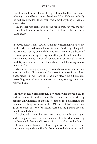### NATASHA LESTER

way. She meant that explaining to my children that their uncle used to be a girl would be an impossible thing. Why? Kids are probably the best people to tell. They accept that almost anything is possible, even fairies.

My mother was right only in the sense that, for me, the fact I am still holding on to the sister I used to have is the one thing I cannot say.

\*

I'm aware of how I must sound. As if I'm complaining, when it's my brother who has had so much more to bear. It's why I go along with the pretence that my whole childhood is an invention, a dream of weekend games, a story of lying beneath a purple quilt in a shared bedroom and having whispered conversations as we read the same Enid Blytons one after the other, about what boarding school might be like.

My games were played, my conversations were had with a ghost-girl who still haunts me. My sister is a secret I must keep close, hidden in my heart. It is the only place where I can stop pretending, where I can remember that once, long ago, my sister really did exist.

\*

And then comes a breakthrough. My brother has moved back in with my parents for a short time. There is an issue to do with my parents' unwillingness to explain to some of their old friends the new state of things with my brother. Of course, it isn't a *new* state given it's been this way for fifteen years but my parents are still unable to talk about it.

I'm shocked. Driven by this, I reach out to my brother again and we begin an email correspondence. He asks what books my children would like for Christmas. I try to make sure he doesn't rush into a rental tenancy that isn't right for him. It is like thin ice, this correspondence. Shards of our renewed relationship might

 $20$